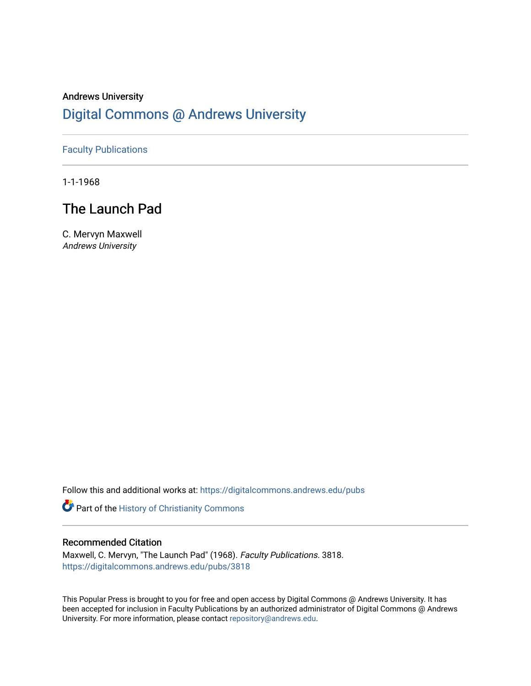## Andrews University [Digital Commons @ Andrews University](https://digitalcommons.andrews.edu/)

### [Faculty Publications](https://digitalcommons.andrews.edu/pubs)

1-1-1968

# The Launch Pad

C. Mervyn Maxwell Andrews University

Follow this and additional works at: [https://digitalcommons.andrews.edu/pubs](https://digitalcommons.andrews.edu/pubs?utm_source=digitalcommons.andrews.edu%2Fpubs%2F3818&utm_medium=PDF&utm_campaign=PDFCoverPages) 

Part of the [History of Christianity Commons](http://network.bepress.com/hgg/discipline/1182?utm_source=digitalcommons.andrews.edu%2Fpubs%2F3818&utm_medium=PDF&utm_campaign=PDFCoverPages) 

### Recommended Citation

Maxwell, C. Mervyn, "The Launch Pad" (1968). Faculty Publications. 3818. [https://digitalcommons.andrews.edu/pubs/3818](https://digitalcommons.andrews.edu/pubs/3818?utm_source=digitalcommons.andrews.edu%2Fpubs%2F3818&utm_medium=PDF&utm_campaign=PDFCoverPages) 

This Popular Press is brought to you for free and open access by Digital Commons @ Andrews University. It has been accepted for inclusion in Faculty Publications by an authorized administrator of Digital Commons @ Andrews University. For more information, please contact [repository@andrews.edu](mailto:repository@andrews.edu).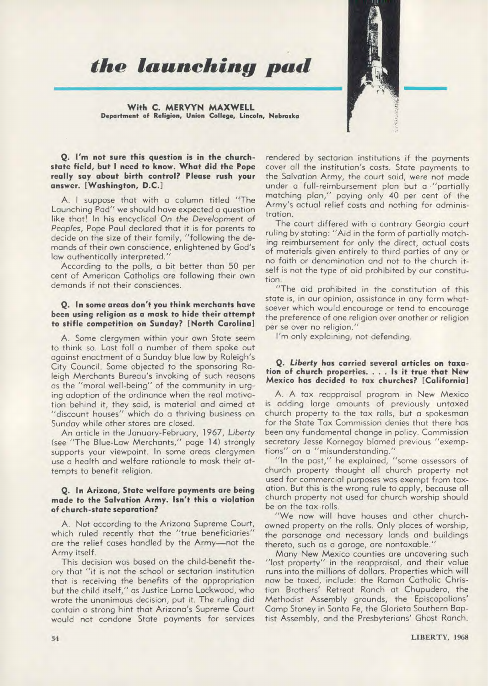*the launching pad* 

**With C. MERVYN MAXWELL Department of Religion, Union College, Lincoln, Nebraska** 

#### **Q. I'm not sure this question is in the churchstate field, but I need to know. What did the Pope really say about birth control? Please rush your answer. [Washington, D.C.]**

A. I suppose that with a column titled "The Launching Pad" we should have expected a question like that! In his encyclical On the Development of Peoples, Pope Paul declared that it is for parents to decide on the size of their family, "following the demands of their own conscience, enlightened by God's law authentically interpreted."

According to the polls, a bit better than 50 per cent of American Catholics are following their own demands if not their consciences.

#### **Q. In some areas don't you think merchants have been using religion as a mask to hide their attempt to stifle competition on Sunday? [North Carolina]**

A. Some clergymen within your own State seem to think so. Last fall a number of them spoke out against enactment of a Sunday blue law by Raleigh's City Council. Some objected to the sponsoring Raleigh Merchants Bureau's invoking of such reasons as the "moral well-being" of the community in urging adoption of the ordinance when the real motivation behind it, they said, is material and aimed at "discount houses" which do a thriving business on Sunday while other stores are closed.

An article in the January-February, 1967, *Liberty*  (see "The Blue-Law Merchants," page 14) strongly supports your viewpoint. In some areas clergymen use a health and welfare rationale to mask their attempts to benefit religion.

#### **Q. In Arizona, State welfare payments are being made to the Salvation Army. Isn't this a violation of church-state separation?**

A. Not according to the Arizona Supreme Court, which ruled recently that the "true beneficiaries" are the relief cases handled by the Army—not the Army itself.

This decision was based on the child-benefit theory that "it is not the school or sectarian institution that is receiving the benefits of the appropriation but the child itself," as Justice Lorna Lockwood, who wrote the unanimous decision, put it. The ruling did contain a strong hint that Arizona's Supreme Court would not condone State payments for services

rendered by sectarian institutions if the payments cover all the institution's costs. State payments to the Salvation Army, the court said, were not made under a full-reimbursement plan but a "partially matching plan," paying only 40 per cent of the Army's actual relief costs and nothing for administration.

The court differed with a contrary Georgia court ruling by stating: "Aid in the form of partially matching reimbursement for only the direct, actual costs of materials given entirely to third parties of any or no faith or denomination and not to the church itself is not the type of aid prohibited by our constitution.

"The aid prohibited in the constitution of this state is, in our opinion, assistance in any form whatsoever which would encourage or tend to encourage the preference of one religion over another or religion per se over no religion."

I'm only explaining, not defending.

#### **Q.** *Liberty* **has carried several articles on taxation of church properties. . . . Is it true that New Mexico has decided to tax churches? [California]**

A. A tax reappraisal program in New Mexico is adding large amounts of previously untaxed church property to the tax rolls, but a spokesman for the State Tax Commission denies that there has been any fundamental change in policy. Commission secretary Jesse Kornegay blamed previous "exemptions" on a "misunderstanding."

"In the past," he explained, "some assessors of church property thought all church property not used for commercial purposes was exempt from taxation. But this is the wrong rule to apply, because all church property not used for church worship should be on the tax rolls.

"We now will have houses and other churchowned property on the rolls. Only places of worship, the parsonage and necessary lands and buildings thereto, such as a garage, are nontaxable."

Many New Mexico counties are uncovering such "lost property" in the reappraisal, and their value runs into the millions of dollars. Properties which will now be taxed, include: the Roman Catholic Christian Brothers' Retreat Ranch at Chupudero, the Methodist Assembly grounds, the Episcopalians' Camp Stoney in Santa Fe, the Glorieta Southern Baptist Assembly, and the Presbyterians' Ghost Ranch.